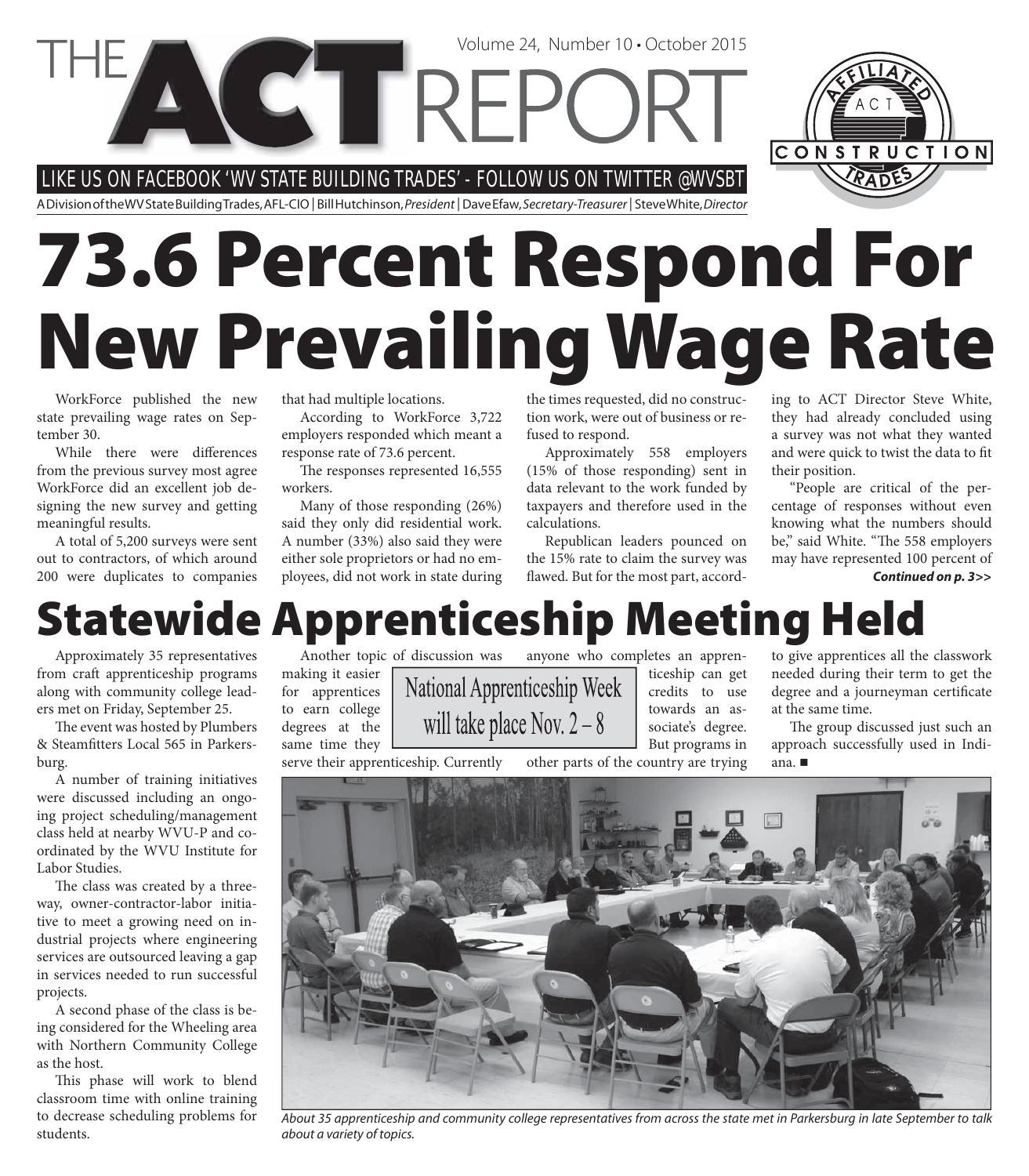LIKE US ON FACEBOOK ' WV STATE BUILDING TRADES' - FOLLOW US ON T WIT TER @WVSBT

**CETTREPC** 

A Division of the WV State Building Trades, AFL-CIO | Bill Hutchinson, President | Dave Efaw, Secretary-Treasurer | Steve White, Director

# **73.6 Percent Respond For New Prevailing Wage Rate**

WorkForce published the new state prevailing wage rates on September 30.

While there were differences from the previous survey most agree WorkForce did an excellent job designing the new survey and getting meaningful results.

A total of 5,200 surveys were sent out to contractors, of which around 200 were duplicates to companies

that had multiple locations.

According to WorkForce 3,722 employers responded which meant a response rate of 73.6 percent.

The responses represented 16,555 workers.

Many of those responding (26%) said they only did residential work. A number (33%) also said they were either sole proprietors or had no employees, did not work in state during the times requested, did no construction work, were out of business or refused to respond.

Volume 24, Number 10 • October 2015

Approximately 558 employers (15% of those responding) sent in data relevant to the work funded by taxpayers and therefore used in the calculations.

Republican leaders pounced on the 15% rate to claim the survey was flawed. But for the most part, according to ACT Director Steve White, they had already concluded using a survey was not what they wanted and were quick to twist the data to fit their position.

"People are critical of the percentage of responses without even knowing what the numbers should be," said White. "The 558 employers may have represented 100 percent of *Continued on p. 3>>*

### **Statewide Apprenticeship Meeting Held**

will take place Nov.  $2 - 8$ 

Approximately 35 representatives from craft apprenticeship programs along with community college leaders met on Friday, September 25.

The event was hosted by Plumbers & Steamfitters Local 565 in Parkersburg.

A number of training initiatives were discussed including an ongoing project scheduling/management class held at nearby WVU-P and coordinated by the WVU Institute for Labor Studies.

The class was created by a threeway, owner-contractor-labor initiative to meet a growing need on industrial projects where engineering services are outsourced leaving a gap in services needed to run successful projects.

A second phase of the class is being considered for the Wheeling area with Northern Community College as the host.

This phase will work to blend classroom time with online training to decrease scheduling problems for students.

Another topic of discussion was making it easier for apprentices to earn college degrees at the same time they

serve their apprenticeship. Currently

anyone who completes an appren-National Apprenticeship Week

ticeship can get credits to use towards an associate's degree.

But programs in other parts of the country are trying

to give apprentices all the classwork needed during their term to get the degree and a journeyman certificate at the same time.

The group discussed just such an approach successfully used in Indiana.



About 35 apprenticeship and community college representatives from across the state met in Parkersburg in late September to talk about a variety of topics.

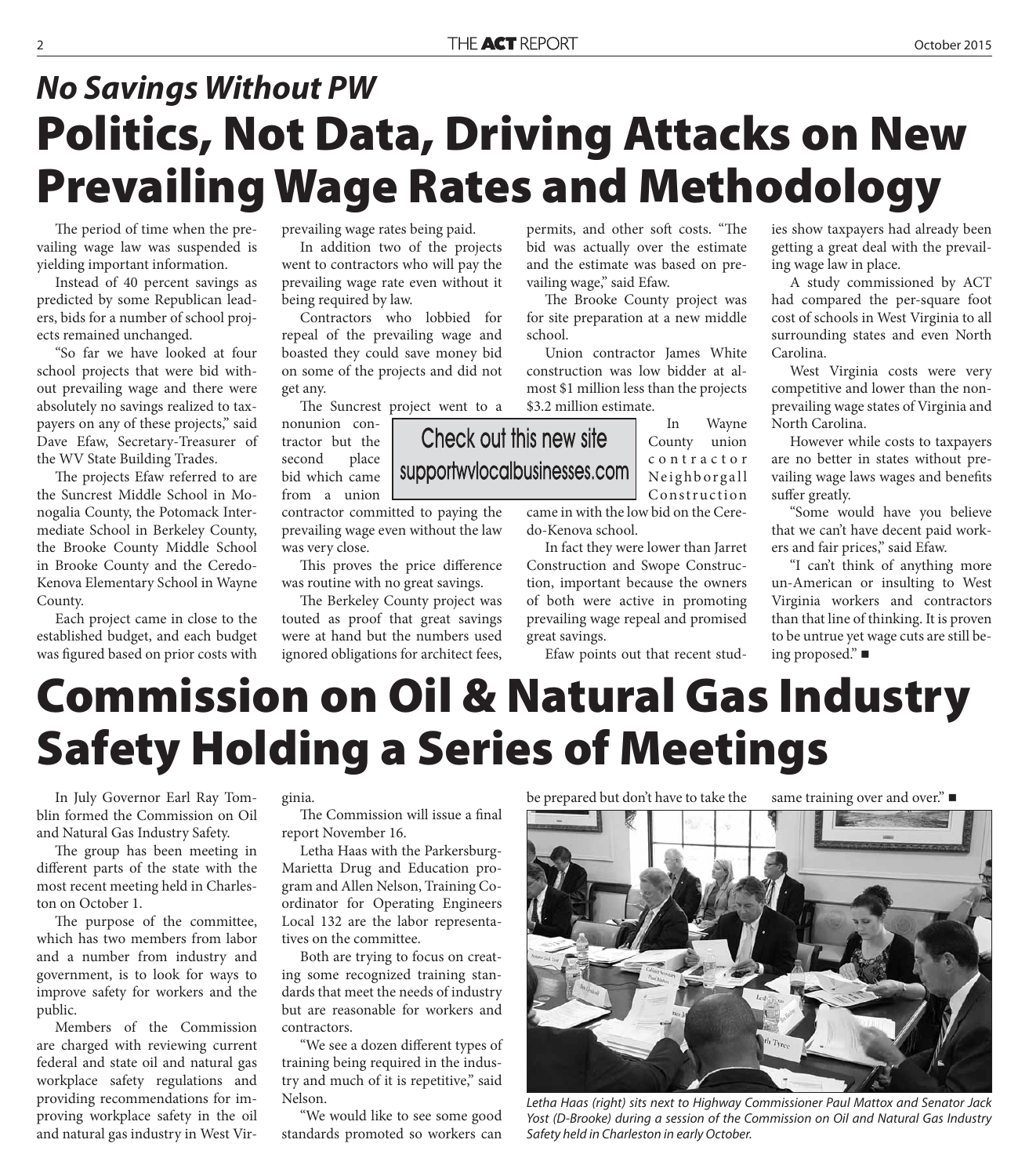#### **Politics, Not Data, Driving Attacks on New Prevailing Wage Rates and Methodology** *No Savings Without PW*

The period of time when the prevailing wage law was suspended is yielding important information.

Instead of 40 percent savings as predicted by some Republican leaders, bids for a number of school projects remained unchanged.

"So far we have looked at four school projects that were bid without prevailing wage and there were absolutely no savings realized to taxpayers on any of these projects," said Dave Efaw, Secretary-Treasurer of the WV State Building Trades.

The projects Efaw referred to are the Suncrest Middle School in Monogalia County, the Potomack Intermediate School in Berkeley County, the Brooke County Middle School in Brooke County and the Ceredo-Kenova Elementary School in Wayne County.

Each project came in close to the established budget, and each budget was figured based on prior costs with prevailing wage rates being paid.

In addition two of the projects went to contractors who will pay the prevailing wage rate even without it being required by law.

Contractors who lobbied for repeal of the prevailing wage and boasted they could save money bid on some of the projects and did not get any.

The Suncrest project went to a

nonunion contractor but the second place bid which came from a union

contractor committed to paying the prevailing wage even without the law was very close.

This proves the price difference was routine with no great savings.

The Berkeley County project was touted as proof that great savings were at hand but the numbers used ignored obligations for architect fees,

permits, and other soft costs. "The bid was actually over the estimate and the estimate was based on prevailing wage," said Efaw.

The Brooke County project was for site preparation at a new middle school.

Union contractor James White construction was low bidder at almost \$1 million less than the projects \$3.2 million estimate.

> In Wayne County union c o n t r a c t o r Neighborgall Construction

came in with the low bid on the Ceredo-Kenova school.

In fact they were lower than Jarret Construction and Swope Construction, important because the owners of both were active in promoting prevailing wage repeal and promised great savings.

Efaw points out that recent stud-

ies show taxpayers had already been getting a great deal with the prevailing wage law in place.

A study commissioned by ACT had compared the per-square foot cost of schools in West Virginia to all surrounding states and even North Carolina.

West Virginia costs were very competitive and lower than the nonprevailing wage states of Virginia and North Carolina.

However while costs to taxpayers are no better in states without prevailing wage laws wages and benefits suffer greatly.

"Some would have you believe that we can't have decent paid workers and fair prices," said Efaw.

"I can't think of anything more un-American or insulting to West Virginia workers and contractors than that line of thinking. It is proven to be untrue yet wage cuts are still being proposed."

## **Commission on Oil & Natural Gas Industry Safety Holding a Series of Meetings**

In July Governor Earl Ray Tomblin formed the Commission on Oil and Natural Gas Industry Safety.

The group has been meeting in different parts of the state with the most recent meeting held in Charleston on October 1.

The purpose of the committee, which has two members from labor and a number from industry and government, is to look for ways to improve safety for workers and the public.

Members of the Commission are charged with reviewing current federal and state oil and natural gas workplace safety regulations and providing recommendations for improving workplace safety in the oil and natural gas industry in West Virginia.

The Commission will issue a final report November 16.

Letha Haas with the Parkersburg-Marietta Drug and Education program and Allen Nelson, Training Coordinator for Operating Engineers Local 132 are the labor representatives on the committee.

Both are trying to focus on creating some recognized training standards that meet the needs of industry but are reasonable for workers and contractors.

"We see a dozen different types of training being required in the industry and much of it is repetitive," said Nelson.

"We would like to see some good standards promoted so workers can

#### be prepared but don't have to take the same training over and over."



Letha Haas (right) sits next to Highway Commissioner Paul Mattox and Senator Jack Yost (D-Brooke) during a session of the Commission on Oil and Natural Gas Industry Safety held in Charleston in early October.

Check out this new site supportwvlocalbusinesses.com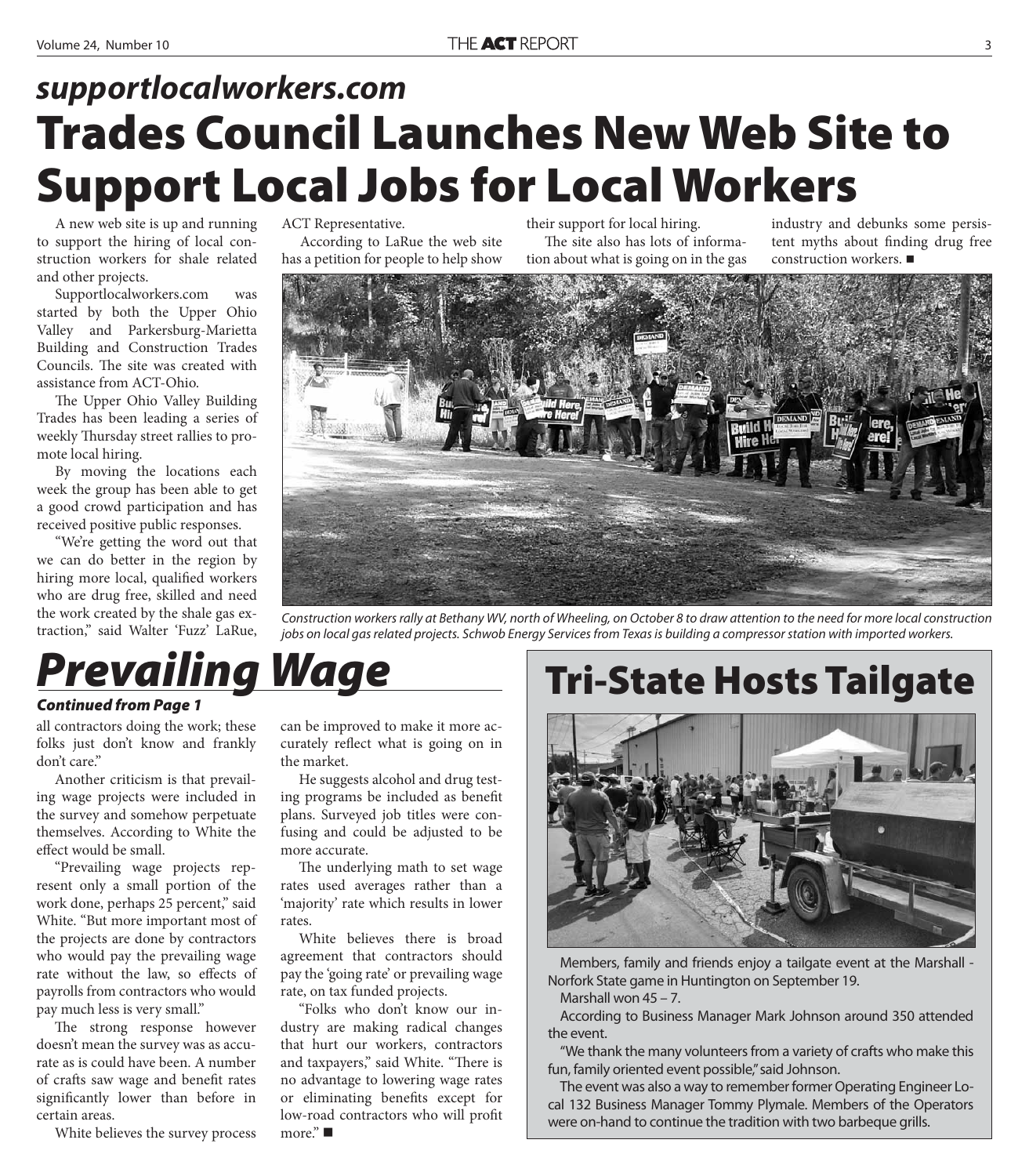#### **Trades Council Launches New Web Site to Support Local Jobs for Local Workers** *supportlocalworkers.com*

A new web site is up and running to support the hiring of local construction workers for shale related and other projects.

Supportlocalworkers.com was started by both the Upper Ohio Valley and Parkersburg-Marietta Building and Construction Trades Councils. The site was created with assistance from ACT-Ohio.

The Upper Ohio Valley Building Trades has been leading a series of weekly Thursday street rallies to promote local hiring.

By moving the locations each week the group has been able to get a good crowd participation and has received positive public responses.

"We're getting the word out that we can do better in the region by hiring more local, qualified workers who are drug free, skilled and need the work created by the shale gas extraction," said Walter 'Fuzz' LaRue, ACT Representative.

According to LaRue the web site has a petition for people to help show

their support for local hiring. The site also has lots of information about what is going on in the gas

industry and debunks some persistent myths about finding drug free construction workers.



Construction workers rally at Bethany WV, north of Wheeling, on October 8 to draw attention to the need for more local construction jobs on local gas related projects. Schwob Energy Services from Texas is building a compressor station with imported workers.

### *Prevailing Wage*

#### *Continued from Page 1*

all contractors doing the work; these folks just don't know and frankly don't care."

Another criticism is that prevailing wage projects were included in the survey and somehow perpetuate themselves. According to White the effect would be small.

"Prevailing wage projects represent only a small portion of the work done, perhaps 25 percent," said White. "But more important most of the projects are done by contractors who would pay the prevailing wage rate without the law, so effects of payrolls from contractors who would pay much less is very small."

The strong response however doesn't mean the survey was as accurate as is could have been. A number of crafts saw wage and benefit rates significantly lower than before in certain areas.

White believes the survey process

can be improved to make it more accurately reflect what is going on in the market.

He suggests alcohol and drug testing programs be included as benefit plans. Surveyed job titles were confusing and could be adjusted to be more accurate.

The underlying math to set wage rates used averages rather than a 'majority' rate which results in lower rates.

White believes there is broad agreement that contractors should pay the 'going rate' or prevailing wage rate, on tax funded projects.

"Folks who don't know our industry are making radical changes that hurt our workers, contractors and taxpayers," said White. "There is no advantage to lowering wage rates or eliminating benefits except for low-road contractors who will profit more." ■

#### **Tri-State Hosts Tailgate**



Members, family and friends enjoy a tailgate event at the Marshall - Norfork State game in Huntington on September 19.

Marshall won 45 – 7.

According to Business Manager Mark Johnson around 350 attended the event.

"We thank the many volunteers from a variety of crafts who make this fun, family oriented event possible," said Johnson.

The event was also a way to remember former Operating Engineer Local 132 Business Manager Tommy Plymale. Members of the Operators were on-hand to continue the tradition with two barbeque grills.